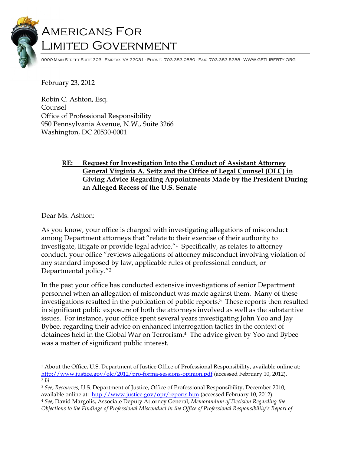# Americans For Limited Government

9900 Main Street Suite 303 · Fairfax, VA 22031 · Phone: 703.383.0880 · Fax: 703.383.5288 · WWW.GETLIBERTY.ORG

February 23, 2012

Robin C. Ashton, Esq. Counsel Office of Professional Responsibility 950 Pennsylvania Avenue, N.W., Suite 3266 Washington, DC 20530-0001

## **RE: Request for Investigation Into the Conduct of Assistant Attorney General Virginia A. Seitz and the Office of Legal Counsel (OLC) in Giving Advice Regarding Appointments Made by the President During an Alleged Recess of the U.S. Senate**

Dear Ms. Ashton:

As you know, your office is charged with investigating allegations of misconduct among Department attorneys that "relate to their exercise of their authority to investigate, litigate or provide legal advice."1 Specifically, as relates to attorney conduct, your office "reviews allegations of attorney misconduct involving violation of any standard imposed by law, applicable rules of professional conduct, or Departmental policy."2

In the past your office has conducted extensive investigations of senior Department personnel when an allegation of misconduct was made against them. Many of these investigations resulted in the publication of public reports.3 These reports then resulted in significant public exposure of both the attorneys involved as well as the substantive issues. For instance, your office spent several years investigating John Yoo and Jay Bybee, regarding their advice on enhanced interrogation tactics in the context of detainees held in the Global War on Terrorism.4 The advice given by Yoo and Bybee was a matter of significant public interest.

 <sup>1</sup> About the Office, U.S. Department of Justice Office of Professional Responsibility, available online at: http://www.justice.gov/olc/2012/pro-forma-sessions-opinion.pdf (accessed February 10, 2012).

<sup>2</sup> *Id*. 3 *See*, *Resources*, U.S. Department of Justice, Office of Professional Responsibility, December 2010, available online at: http://www.justice.gov/opr/reports.htm (accessed February 10, 2012).

<sup>4</sup> *See*, David Margolis, Associate Deputy Attorney General, *Memorandum of Decision Regarding the Objections to the Findings of Professional Misconduct in the Office of Professional Responsibility's Report of*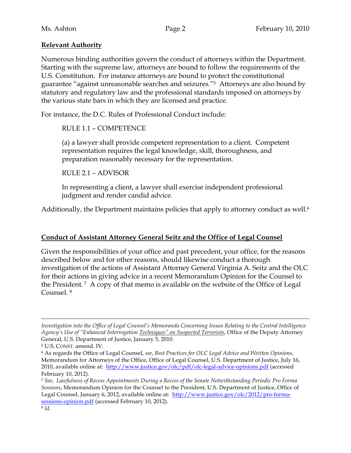## **Relevant Authority**

Numerous binding authorities govern the conduct of attorneys within the Department. Starting with the supreme law, attorneys are bound to follow the requirements of the U.S. Constitution. For instance attorneys are bound to protect the constitutional guarantee "against unreasonable searches and seizures."5 Attorneys are also bound by statutory and regulatory law and the professional standards imposed on attorneys by the various state bars in which they are licensed and practice.

For instance, the D.C. Rules of Professional Conduct include:

RULE 1.1 – COMPETENCE

(a) a lawyer shall provide competent representation to a client. Competent representation requires the legal knowledge, skill, thoroughness, and preparation reasonably necessary for the representation.

RULE 2.1 – ADVISOR

In representing a client, a lawyer shall exercise independent professional judgment and render candid advice.

Additionally, the Department maintains policies that apply to attorney conduct as well. 6

## **Conduct of Assistant Attorney General Seitz and the Office of Legal Counsel**

Given the responsibilities of your office and past precedent, your office, for the reasons described below and for other reasons, should likewise conduct a thorough investigation of the actions of Assistant Attorney General Virginia A. Seitz and the OLC for their actions in giving advice in a recent Memorandum Opinion for the Counsel to the President. 7 A copy of that memo is available on the website of the Office of Legal Counsel. 8

 $\overline{a}$ *Investigation into the Office of Legal Counsel's Memoranda Concerning Issues Relating to the Central Intelligence Agency's Use of "Enhanced Interrogation Techniques" on Suspected Terrorists*, Office of the Deputy Attorney General, U.S. Department of Justice, January 5, 2010.

<sup>5</sup> U.S. CONST. amend. IV.

<sup>6</sup> As regards the Office of Legal Counsel, *see*, *Best Practices for OLC Legal Advice and Written Opinions*, Memorandum for Attorneys of the Office, Office of Legal Counsel, U.S. Department of Justice, July 16, 2010, available online at: http://www.justice.gov/olc/pdf/olc-legal-advice-opinions.pdf (accessed February 10, 2012).

<sup>7</sup> *See*, *Lawfulness of Recess Appointments During a Recess of the Senate Notwithstanding Periodic Pro Forma Sessions*, Memorandum Opinion for the Counsel to the President, U.S. Department of Justice, Office of Legal Counsel, January 6, 2012, available online at: http://www.justice.gov/olc/2012/pro-formasessions-opinion.pdf (accessed February 10, 2012).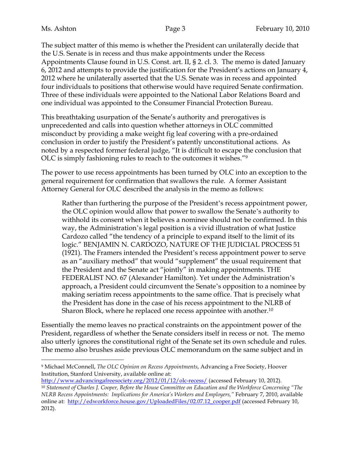The subject matter of this memo is whether the President can unilaterally decide that the U.S. Senate is in recess and thus make appointments under the Recess Appointments Clause found in U.S. Const. art. II, § 2. cl. 3. The memo is dated January 6, 2012 and attempts to provide the justification for the President's actions on January 4, 2012 where he unilaterally asserted that the U.S. Senate was in recess and appointed four individuals to positions that otherwise would have required Senate confirmation. Three of these individuals were appointed to the National Labor Relations Board and one individual was appointed to the Consumer Financial Protection Bureau.

This breathtaking usurpation of the Senate's authority and prerogatives is unprecedented and calls into question whether attorneys in OLC committed misconduct by providing a make weight fig leaf covering with a pre-ordained conclusion in order to justify the President's patently unconstitutional actions. As noted by a respected former federal judge, "It is difficult to escape the conclusion that OLC is simply fashioning rules to reach to the outcomes it wishes."9

The power to use recess appointments has been turned by OLC into an exception to the general requirement for confirmation that swallows the rule. A former Assistant Attorney General for OLC described the analysis in the memo as follows:

Rather than furthering the purpose of the President's recess appointment power, the OLC opinion would allow that power to swallow the Senate's authority to withhold its consent when it believes a nominee should not be confirmed. In this way, the Administration's legal position is a vivid illustration of what Justice Cardozo called "the tendency of a principle to expand itself to the limit of its logic." BENJAMIN N. CARDOZO, NATURE OF THE JUDICIAL PROCESS 51 (1921). The Framers intended the President's recess appointment power to serve as an "auxiliary method" that would "supplement" the usual requirement that the President and the Senate act "jointly" in making appointments. THE FEDERALIST NO. 67 (Alexander Hamilton). Yet under the Administration's approach, a President could circumvent the Senate's opposition to a nominee by making seriatim recess appointments to the same office. That is precisely what the President has done in the case of his recess appointment to the NLRB of Sharon Block, where he replaced one recess appointee with another. $^{10}$ 

Essentially the memo leaves no practical constraints on the appointment power of the President, regardless of whether the Senate considers itself in recess or not. The memo also utterly ignores the constitutional right of the Senate set its own schedule and rules. The memo also brushes aside previous OLC memorandum on the same subject and in

 <sup>9</sup> Michael McConnell, *The OLC Opinion on Recess Appointments*, Advancing a Free Society, Hoover Institution, Stanford University, available online at:

http://www.advancingafreesociety.org/2012/01/12/olc-recess/ (accessed February 10, 2012). <sup>10</sup> *Statement of Charles J. Cooper, Before the House Committee on Education and the Workforce Concerning "The NLRB Recess Appointments: Implications for America's Workers and Employers,"* February 7, 2010, available online at: http://edworkforce.house.gov/UploadedFiles/02.07.12\_cooper.pdf (accessed February 10, 2012).